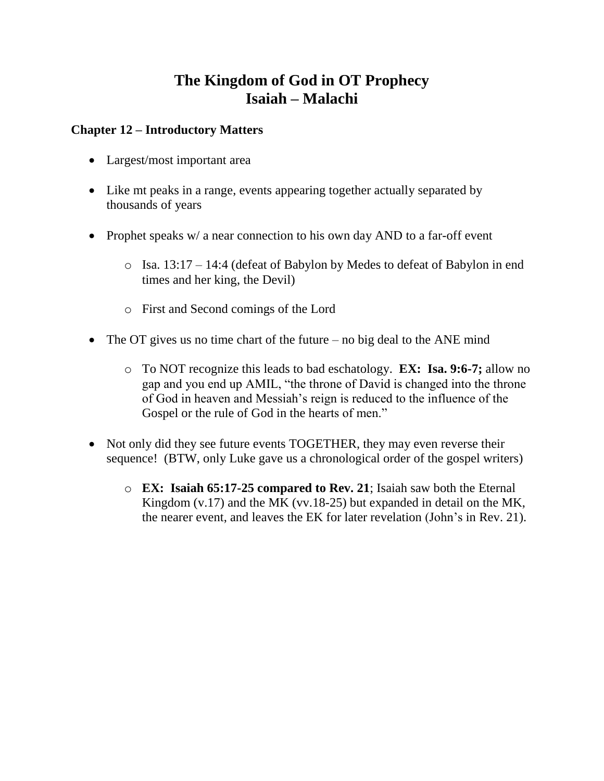# **The Kingdom of God in OT Prophecy Isaiah – Malachi**

#### **Chapter 12 – Introductory Matters**

- Largest/most important area
- Like mt peaks in a range, events appearing together actually separated by thousands of years
- Prophet speaks w/ a near connection to his own day AND to a far-off event
	- o Isa. 13:17 14:4 (defeat of Babylon by Medes to defeat of Babylon in end times and her king, the Devil)
	- o First and Second comings of the Lord
- The OT gives us no time chart of the future no big deal to the ANE mind
	- o To NOT recognize this leads to bad eschatology. **EX: Isa. 9:6-7;** allow no gap and you end up AMIL, "the throne of David is changed into the throne of God in heaven and Messiah's reign is reduced to the influence of the Gospel or the rule of God in the hearts of men."
- Not only did they see future events TOGETHER, they may even reverse their sequence! (BTW, only Luke gave us a chronological order of the gospel writers)
	- o **EX: Isaiah 65:17-25 compared to Rev. 21**; Isaiah saw both the Eternal Kingdom (v.17) and the MK (vv.18-25) but expanded in detail on the MK, the nearer event, and leaves the EK for later revelation (John's in Rev. 21).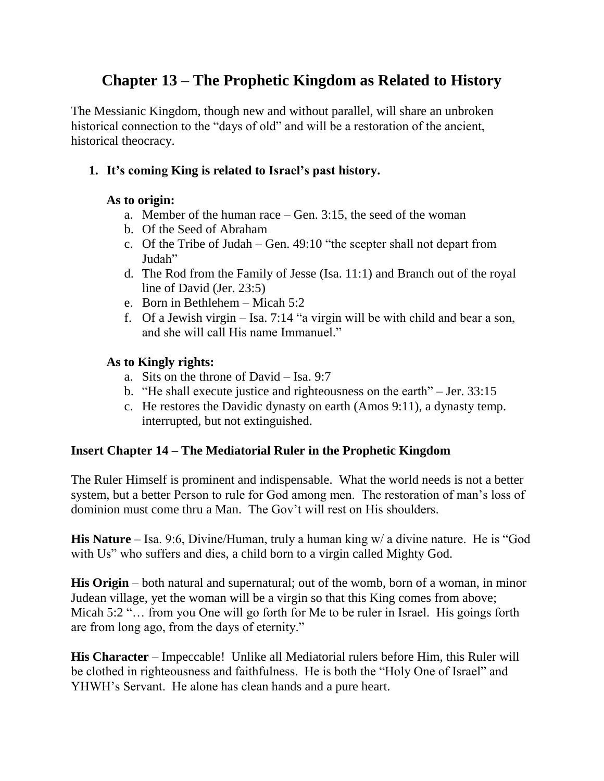# **Chapter 13 – The Prophetic Kingdom as Related to History**

The Messianic Kingdom, though new and without parallel, will share an unbroken historical connection to the "days of old" and will be a restoration of the ancient, historical theocracy.

# **1. It's coming King is related to Israel's past history.**

#### **As to origin:**

- a. Member of the human race Gen. 3:15, the seed of the woman
- b. Of the Seed of Abraham
- c. Of the Tribe of Judah Gen. 49:10 "the scepter shall not depart from Judah"
- d. The Rod from the Family of Jesse (Isa. 11:1) and Branch out of the royal line of David (Jer. 23:5)
- e. Born in Bethlehem Micah 5:2
- f. Of a Jewish virgin Isa. 7:14 "a virgin will be with child and bear a son, and she will call His name Immanuel."

#### **As to Kingly rights:**

- a. Sits on the throne of David Isa. 9:7
- b. "He shall execute justice and righteousness on the earth" Jer. 33:15
- c. He restores the Davidic dynasty on earth (Amos 9:11), a dynasty temp. interrupted, but not extinguished.

# **Insert Chapter 14 – The Mediatorial Ruler in the Prophetic Kingdom**

The Ruler Himself is prominent and indispensable. What the world needs is not a better system, but a better Person to rule for God among men. The restoration of man's loss of dominion must come thru a Man. The Gov't will rest on His shoulders.

**His Nature** – Isa. 9:6, Divine/Human, truly a human king w/ a divine nature. He is "God with Us" who suffers and dies, a child born to a virgin called Mighty God.

**His Origin** – both natural and supernatural; out of the womb, born of a woman, in minor Judean village, yet the woman will be a virgin so that this King comes from above; Micah 5:2 "... from you One will go forth for Me to be ruler in Israel. His goings forth are from long ago, from the days of eternity."

**His Character** – Impeccable! Unlike all Mediatorial rulers before Him, this Ruler will be clothed in righteousness and faithfulness. He is both the "Holy One of Israel" and YHWH's Servant. He alone has clean hands and a pure heart.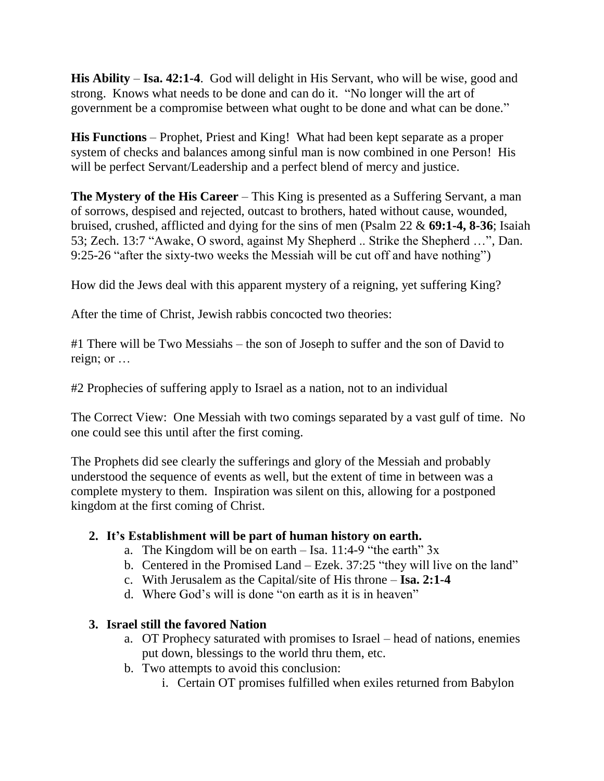**His Ability** – **Isa. 42:1-4**. God will delight in His Servant, who will be wise, good and strong. Knows what needs to be done and can do it. "No longer will the art of government be a compromise between what ought to be done and what can be done."

**His Functions** – Prophet, Priest and King! What had been kept separate as a proper system of checks and balances among sinful man is now combined in one Person! His will be perfect Servant/Leadership and a perfect blend of mercy and justice.

**The Mystery of the His Career** – This King is presented as a Suffering Servant, a man of sorrows, despised and rejected, outcast to brothers, hated without cause, wounded, bruised, crushed, afflicted and dying for the sins of men (Psalm 22 & **69:1-4, 8-36**; Isaiah 53; Zech. 13:7 "Awake, O sword, against My Shepherd .. Strike the Shepherd …", Dan. 9:25-26 "after the sixty-two weeks the Messiah will be cut off and have nothing")

How did the Jews deal with this apparent mystery of a reigning, yet suffering King?

After the time of Christ, Jewish rabbis concocted two theories:

#1 There will be Two Messiahs – the son of Joseph to suffer and the son of David to reign; or …

#2 Prophecies of suffering apply to Israel as a nation, not to an individual

The Correct View: One Messiah with two comings separated by a vast gulf of time. No one could see this until after the first coming.

The Prophets did see clearly the sufferings and glory of the Messiah and probably understood the sequence of events as well, but the extent of time in between was a complete mystery to them. Inspiration was silent on this, allowing for a postponed kingdom at the first coming of Christ.

#### **2. It's Establishment will be part of human history on earth.**

- a. The Kingdom will be on earth  $-$  Isa. 11:4-9 "the earth"  $3x$
- b. Centered in the Promised Land Ezek. 37:25 "they will live on the land"
- c. With Jerusalem as the Capital/site of His throne **Isa. 2:1-4**
- d. Where God's will is done "on earth as it is in heaven"

# **3. Israel still the favored Nation**

- a. OT Prophecy saturated with promises to Israel head of nations, enemies put down, blessings to the world thru them, etc.
- b. Two attempts to avoid this conclusion:
	- i. Certain OT promises fulfilled when exiles returned from Babylon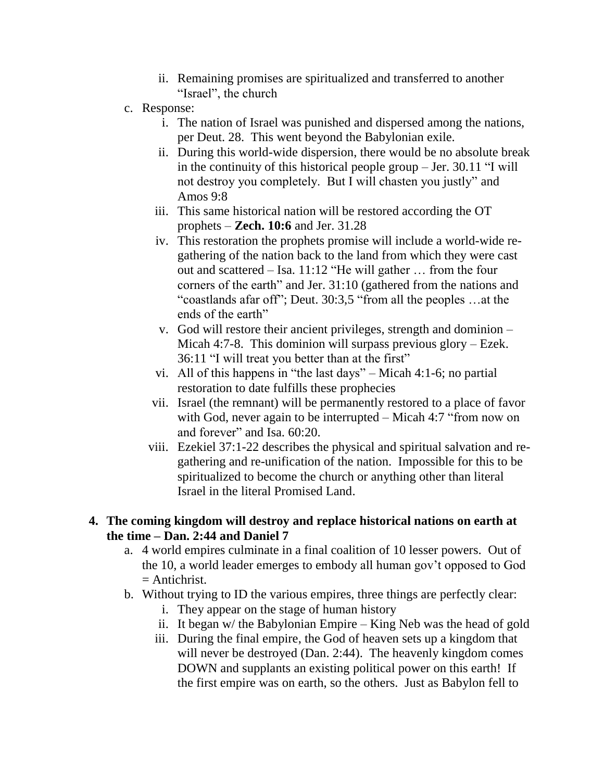- ii. Remaining promises are spiritualized and transferred to another "Israel", the church
- c. Response:
	- i. The nation of Israel was punished and dispersed among the nations, per Deut. 28. This went beyond the Babylonian exile.
	- ii. During this world-wide dispersion, there would be no absolute break in the continuity of this historical people group – Jer. 30.11 "I will not destroy you completely. But I will chasten you justly" and Amos 9:8
	- iii. This same historical nation will be restored according the OT prophets – **Zech. 10:6** and Jer. 31.28
	- iv. This restoration the prophets promise will include a world-wide regathering of the nation back to the land from which they were cast out and scattered – Isa. 11:12 "He will gather … from the four corners of the earth" and Jer. 31:10 (gathered from the nations and "coastlands afar off"; Deut. 30:3,5 "from all the peoples …at the ends of the earth"
	- v. God will restore their ancient privileges, strength and dominion Micah 4:7-8. This dominion will surpass previous glory – Ezek. 36:11 "I will treat you better than at the first"
	- vi. All of this happens in "the last days" Micah 4:1-6; no partial restoration to date fulfills these prophecies
	- vii. Israel (the remnant) will be permanently restored to a place of favor with God, never again to be interrupted – Micah 4:7 "from now on and forever" and Isa. 60:20.
	- viii. Ezekiel 37:1-22 describes the physical and spiritual salvation and regathering and re-unification of the nation. Impossible for this to be spiritualized to become the church or anything other than literal Israel in the literal Promised Land.

#### **4. The coming kingdom will destroy and replace historical nations on earth at the time – Dan. 2:44 and Daniel 7**

- a. 4 world empires culminate in a final coalition of 10 lesser powers. Out of the 10, a world leader emerges to embody all human gov't opposed to God  $=$  Antichrist.
- b. Without trying to ID the various empires, three things are perfectly clear:
	- i. They appear on the stage of human history
	- ii. It began w/ the Babylonian Empire King Neb was the head of gold
	- iii. During the final empire, the God of heaven sets up a kingdom that will never be destroyed (Dan. 2:44). The heavenly kingdom comes DOWN and supplants an existing political power on this earth! If the first empire was on earth, so the others. Just as Babylon fell to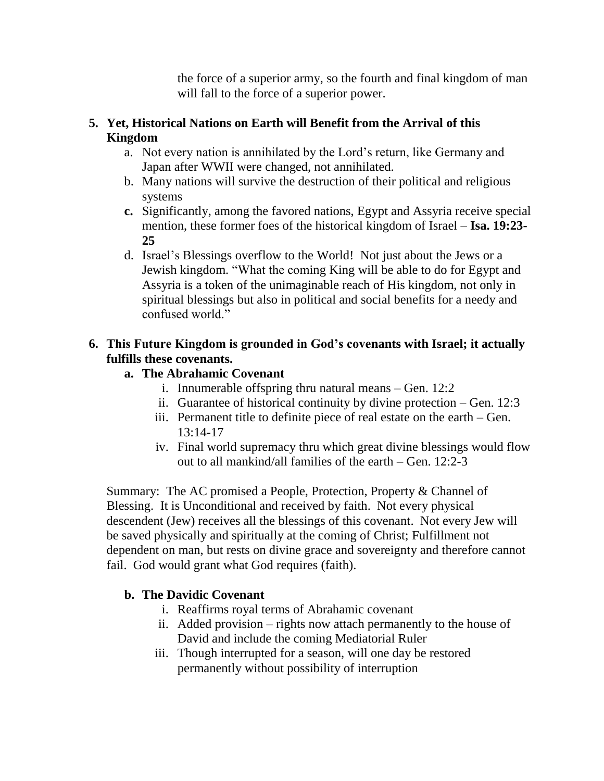the force of a superior army, so the fourth and final kingdom of man will fall to the force of a superior power.

# **5. Yet, Historical Nations on Earth will Benefit from the Arrival of this Kingdom**

- a. Not every nation is annihilated by the Lord's return, like Germany and Japan after WWII were changed, not annihilated.
- b. Many nations will survive the destruction of their political and religious systems
- **c.** Significantly, among the favored nations, Egypt and Assyria receive special mention, these former foes of the historical kingdom of Israel – **Isa. 19:23- 25**
- d. Israel's Blessings overflow to the World! Not just about the Jews or a Jewish kingdom. "What the coming King will be able to do for Egypt and Assyria is a token of the unimaginable reach of His kingdom, not only in spiritual blessings but also in political and social benefits for a needy and confused world."

# **6. This Future Kingdom is grounded in God's covenants with Israel; it actually fulfills these covenants.**

# **a. The Abrahamic Covenant**

- i. Innumerable offspring thru natural means Gen. 12:2
- ii. Guarantee of historical continuity by divine protection Gen. 12:3
- iii. Permanent title to definite piece of real estate on the earth Gen. 13:14-17
- iv. Final world supremacy thru which great divine blessings would flow out to all mankind/all families of the earth – Gen. 12:2-3

Summary: The AC promised a People, Protection, Property & Channel of Blessing. It is Unconditional and received by faith. Not every physical descendent (Jew) receives all the blessings of this covenant. Not every Jew will be saved physically and spiritually at the coming of Christ; Fulfillment not dependent on man, but rests on divine grace and sovereignty and therefore cannot fail. God would grant what God requires (faith).

# **b. The Davidic Covenant**

- i. Reaffirms royal terms of Abrahamic covenant
- ii. Added provision rights now attach permanently to the house of David and include the coming Mediatorial Ruler
- iii. Though interrupted for a season, will one day be restored permanently without possibility of interruption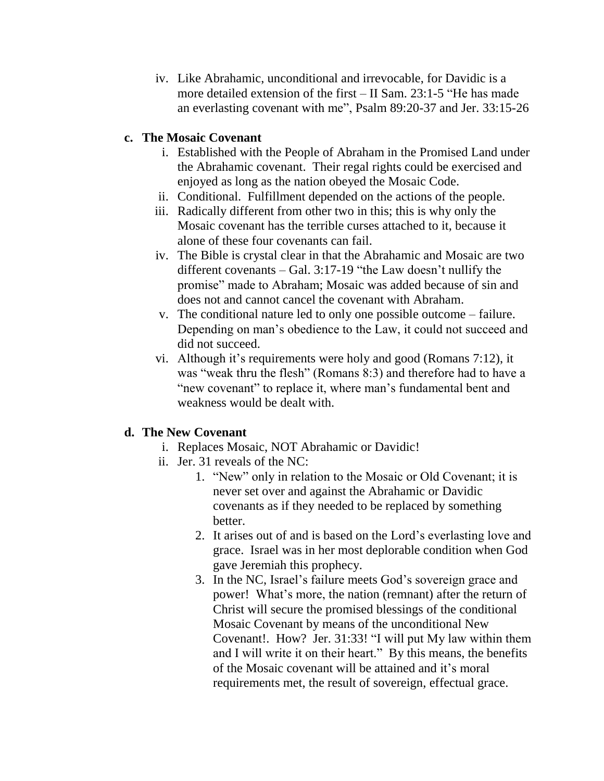iv. Like Abrahamic, unconditional and irrevocable, for Davidic is a more detailed extension of the first – II Sam. 23:1-5 "He has made an everlasting covenant with me", Psalm 89:20-37 and Jer. 33:15-26

#### **c. The Mosaic Covenant**

- i. Established with the People of Abraham in the Promised Land under the Abrahamic covenant. Their regal rights could be exercised and enjoyed as long as the nation obeyed the Mosaic Code.
- ii. Conditional. Fulfillment depended on the actions of the people.
- iii. Radically different from other two in this; this is why only the Mosaic covenant has the terrible curses attached to it, because it alone of these four covenants can fail.
- iv. The Bible is crystal clear in that the Abrahamic and Mosaic are two different covenants – Gal. 3:17-19 "the Law doesn't nullify the promise" made to Abraham; Mosaic was added because of sin and does not and cannot cancel the covenant with Abraham.
- v. The conditional nature led to only one possible outcome failure. Depending on man's obedience to the Law, it could not succeed and did not succeed.
- vi. Although it's requirements were holy and good (Romans 7:12), it was "weak thru the flesh" (Romans 8:3) and therefore had to have a "new covenant" to replace it, where man's fundamental bent and weakness would be dealt with.

#### **d. The New Covenant**

- i. Replaces Mosaic, NOT Abrahamic or Davidic!
- ii. Jer. 31 reveals of the NC:
	- 1. "New" only in relation to the Mosaic or Old Covenant; it is never set over and against the Abrahamic or Davidic covenants as if they needed to be replaced by something better.
	- 2. It arises out of and is based on the Lord's everlasting love and grace. Israel was in her most deplorable condition when God gave Jeremiah this prophecy.
	- 3. In the NC, Israel's failure meets God's sovereign grace and power! What's more, the nation (remnant) after the return of Christ will secure the promised blessings of the conditional Mosaic Covenant by means of the unconditional New Covenant!. How? Jer. 31:33! "I will put My law within them and I will write it on their heart." By this means, the benefits of the Mosaic covenant will be attained and it's moral requirements met, the result of sovereign, effectual grace.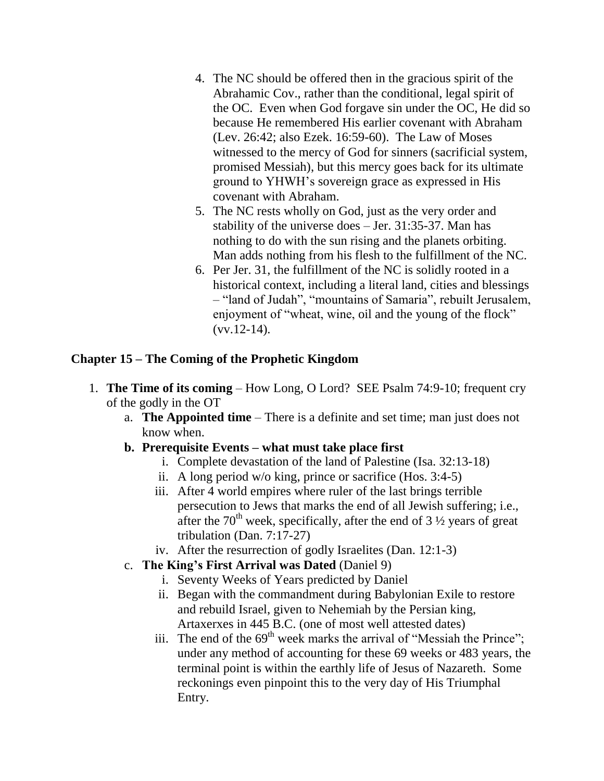- 4. The NC should be offered then in the gracious spirit of the Abrahamic Cov., rather than the conditional, legal spirit of the OC. Even when God forgave sin under the OC, He did so because He remembered His earlier covenant with Abraham (Lev. 26:42; also Ezek. 16:59-60). The Law of Moses witnessed to the mercy of God for sinners (sacrificial system, promised Messiah), but this mercy goes back for its ultimate ground to YHWH's sovereign grace as expressed in His covenant with Abraham.
- 5. The NC rests wholly on God, just as the very order and stability of the universe does – Jer. 31:35-37. Man has nothing to do with the sun rising and the planets orbiting. Man adds nothing from his flesh to the fulfillment of the NC.
- 6. Per Jer. 31, the fulfillment of the NC is solidly rooted in a historical context, including a literal land, cities and blessings – "land of Judah", "mountains of Samaria", rebuilt Jerusalem, enjoyment of "wheat, wine, oil and the young of the flock"  $(vv.12-14)$ .

#### **Chapter 15 – The Coming of the Prophetic Kingdom**

- 1. **The Time of its coming** How Long, O Lord? SEE Psalm 74:9-10; frequent cry of the godly in the OT
	- a. **The Appointed time** There is a definite and set time; man just does not know when.
	- **b. Prerequisite Events – what must take place first**
		- i. Complete devastation of the land of Palestine (Isa. 32:13-18)
		- ii. A long period w/o king, prince or sacrifice (Hos. 3:4-5)
		- iii. After 4 world empires where ruler of the last brings terrible persecution to Jews that marks the end of all Jewish suffering; i.e., after the 70<sup>th</sup> week, specifically, after the end of 3  $\frac{1}{2}$  years of great tribulation (Dan. 7:17-27)
		- iv. After the resurrection of godly Israelites (Dan. 12:1-3)
	- c. **The King's First Arrival was Dated** (Daniel 9)
		- i. Seventy Weeks of Years predicted by Daniel
		- ii. Began with the commandment during Babylonian Exile to restore and rebuild Israel, given to Nehemiah by the Persian king, Artaxerxes in 445 B.C. (one of most well attested dates)
		- iii. The end of the  $69<sup>th</sup>$  week marks the arrival of "Messiah the Prince"; under any method of accounting for these 69 weeks or 483 years, the terminal point is within the earthly life of Jesus of Nazareth. Some reckonings even pinpoint this to the very day of His Triumphal Entry.